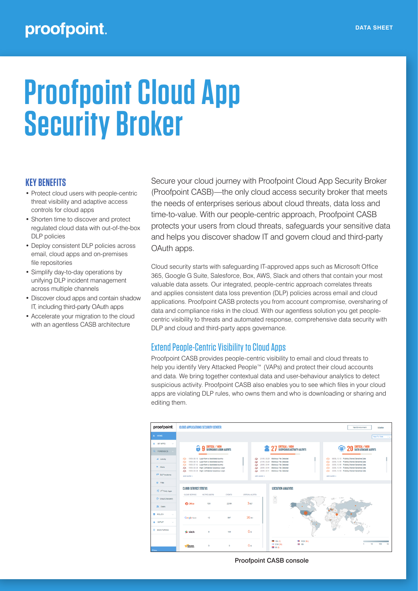# **Proofpoint Cloud App Security Broker**

### **KEY BENEFITS**

- Protect cloud users with people-centric threat visibility and adaptive access controls for cloud apps
- Shorten time to discover and protect regulated cloud data with out-of-the-box DLP policies
- Deploy consistent DLP policies across email, cloud apps and on-premises file repositories
- Simplify day-to-day operations by unifying DLP incident management across multiple channels
- Discover cloud apps and contain shadow IT, including third-party OAuth apps
- Accelerate your migration to the cloud with an agentless CASB architecture

Secure your cloud journey with Proofpoint Cloud App Security Broker (Proofpoint CASB)—the only cloud access security broker that meets the needs of enterprises serious about cloud threats, data loss and time-to-value. With our people-centric approach, Proofpoint CASB protects your users from cloud threats, safeguards your sensitive data and helps you discover shadow IT and govern cloud and third-party OAuth apps.

Cloud security starts with safeguarding IT-approved apps such as Microsoft Office 365, Google G Suite, Salesforce, Box, AWS, Slack and others that contain your most valuable data assets. Our integrated, people-centric approach correlates threats and applies consistent data loss prevention (DLP) policies across email and cloud applications. Proofpoint CASB protects you from account compromise, oversharing of data and compliance risks in the cloud. With our agentless solution you get peoplecentric visibility to threats and automated response, comprehensive data security with DLP and cloud and third-party apps governance.

# Extend People-Centric Visibility to Cloud Apps

Proofpoint CASB provides people-centric visibility to email and cloud threats to help you identify Very Attacked People™ (VAPs) and protect their cloud accounts and data. We bring together contextual data and user-behaviour analytics to detect suspicious activity. Proofpoint CASB also enables you to see which files in your cloud apps are violating DLP rules, who owns them and who is downloading or sharing and editing them.



Proofpoint CASB console